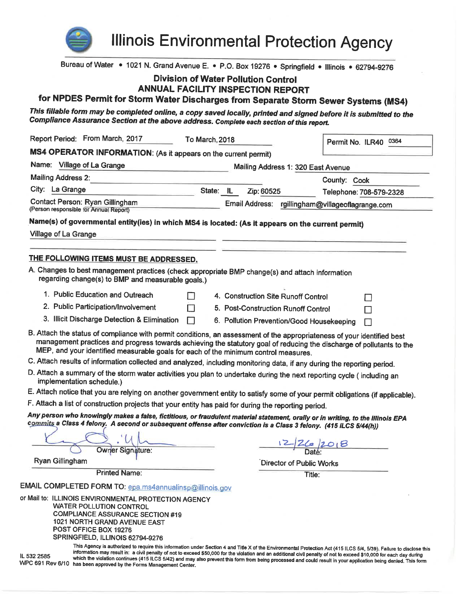

**Illinois Environmental Protection Agency** 

Bureau of Water • 1021 N. Grand Avenue E. • P.O. Box 19276 • Springfield • Illinois • 62794-9276

# **Division of Water Pollution Control**

# **ANNUAL FACILITY INSPECTION REPORT**

for NPDES Permit for Storm Water Discharges from Separate Storm Sewer Systems (MS4)

This fillable form may be completed online, a copy saved locally, printed and signed before it is submitted to the Compliance Assurance Section at the above address. Complete each section of this report.

| Report Period: From March, 2017                                                                                                                                                                                                                                                                                                         | To March, 2018 |           |                                     | Permit No. ILR40 0364                                                                                                                                                                                                                                                                                                                                                                                                                                                                                          |
|-----------------------------------------------------------------------------------------------------------------------------------------------------------------------------------------------------------------------------------------------------------------------------------------------------------------------------------------|----------------|-----------|-------------------------------------|----------------------------------------------------------------------------------------------------------------------------------------------------------------------------------------------------------------------------------------------------------------------------------------------------------------------------------------------------------------------------------------------------------------------------------------------------------------------------------------------------------------|
| MS4 OPERATOR INFORMATION: (As it appears on the current permit)                                                                                                                                                                                                                                                                         |                |           |                                     |                                                                                                                                                                                                                                                                                                                                                                                                                                                                                                                |
| Name: Village of La Grange                                                                                                                                                                                                                                                                                                              |                |           |                                     | Mailing Address 1: 320 East Avenue                                                                                                                                                                                                                                                                                                                                                                                                                                                                             |
| <b>Mailing Address 2:</b>                                                                                                                                                                                                                                                                                                               |                |           |                                     | County: Cook                                                                                                                                                                                                                                                                                                                                                                                                                                                                                                   |
| City: La Grange                                                                                                                                                                                                                                                                                                                         |                | State: IL | Zip: 60525                          | Telephone: 708-579-2328                                                                                                                                                                                                                                                                                                                                                                                                                                                                                        |
| Contact Person: Ryan Gillingham<br>(Person responsible for Annual Report)                                                                                                                                                                                                                                                               |                |           | Email Address:                      | rgillingham@villageoflagrange.com                                                                                                                                                                                                                                                                                                                                                                                                                                                                              |
| Name(s) of governmental entity(ies) in which MS4 is located: (As it appears on the current permit)                                                                                                                                                                                                                                      |                |           |                                     |                                                                                                                                                                                                                                                                                                                                                                                                                                                                                                                |
| Village of La Grange                                                                                                                                                                                                                                                                                                                    |                |           |                                     |                                                                                                                                                                                                                                                                                                                                                                                                                                                                                                                |
| THE FOLLOWING ITEMS MUST BE ADDRESSED.                                                                                                                                                                                                                                                                                                  |                |           |                                     |                                                                                                                                                                                                                                                                                                                                                                                                                                                                                                                |
| A. Changes to best management practices (check appropriate BMP change(s) and attach information<br>regarding change(s) to BMP and measurable goals.)                                                                                                                                                                                    |                |           |                                     |                                                                                                                                                                                                                                                                                                                                                                                                                                                                                                                |
| 1. Public Education and Outreach                                                                                                                                                                                                                                                                                                        |                |           | 4. Construction Site Runoff Control | $\Box$                                                                                                                                                                                                                                                                                                                                                                                                                                                                                                         |
| 2. Public Participation/Involvement                                                                                                                                                                                                                                                                                                     |                |           | 5. Post-Construction Runoff Control |                                                                                                                                                                                                                                                                                                                                                                                                                                                                                                                |
| 3. Illicit Discharge Detection & Elimination                                                                                                                                                                                                                                                                                            | ΙI             |           |                                     | 6. Pollution Prevention/Good Housekeeping                                                                                                                                                                                                                                                                                                                                                                                                                                                                      |
| B. Attach the status of compliance with permit conditions, an assessment of the appropriateness of your identified best<br>management practices and progress towards achieving the statutory goal of reducing the discharge of pollutants to the<br>MEP, and your identified measurable goals for each of the minimum control measures. |                |           |                                     |                                                                                                                                                                                                                                                                                                                                                                                                                                                                                                                |
| C. Attach results of information collected and analyzed, including monitoring data, if any during the reporting period.                                                                                                                                                                                                                 |                |           |                                     |                                                                                                                                                                                                                                                                                                                                                                                                                                                                                                                |
| D. Attach a summary of the storm water activities you plan to undertake during the next reporting cycle (including an<br>implementation schedule.)                                                                                                                                                                                      |                |           |                                     |                                                                                                                                                                                                                                                                                                                                                                                                                                                                                                                |
| E. Attach notice that you are relying on another government entity to satisfy some of your permit obligations (if applicable).                                                                                                                                                                                                          |                |           |                                     |                                                                                                                                                                                                                                                                                                                                                                                                                                                                                                                |
| F. Attach a list of construction projects that your entity has paid for during the reporting period.                                                                                                                                                                                                                                    |                |           |                                     |                                                                                                                                                                                                                                                                                                                                                                                                                                                                                                                |
| Any person who knowingly makes a false, fictitious, or fraudulent material statement, orally or in writing, to the Illinois EPA<br>commits a Class 4 felony. A second or subsequent offense after conviction is a Class 3 felony. (415 ILCS 5/44(h))                                                                                    |                |           |                                     |                                                                                                                                                                                                                                                                                                                                                                                                                                                                                                                |
| <b>Owner Signature:</b>                                                                                                                                                                                                                                                                                                                 |                |           |                                     |                                                                                                                                                                                                                                                                                                                                                                                                                                                                                                                |
| Ryan Gillingham                                                                                                                                                                                                                                                                                                                         |                |           |                                     | Director of Public Works                                                                                                                                                                                                                                                                                                                                                                                                                                                                                       |
| <b>Printed Name:</b>                                                                                                                                                                                                                                                                                                                    |                |           |                                     | Title:                                                                                                                                                                                                                                                                                                                                                                                                                                                                                                         |
| EMAIL COMPLETED FORM TO: epa.ms4annualinsp@illinois.gov                                                                                                                                                                                                                                                                                 |                |           |                                     |                                                                                                                                                                                                                                                                                                                                                                                                                                                                                                                |
| or Mail to: ILLINOIS ENVIRONMENTAL PROTECTION AGENCY                                                                                                                                                                                                                                                                                    |                |           |                                     |                                                                                                                                                                                                                                                                                                                                                                                                                                                                                                                |
| <b>WATER POLLUTION CONTROL</b><br><b>COMPLIANCE ASSURANCE SECTION #19</b>                                                                                                                                                                                                                                                               |                |           |                                     |                                                                                                                                                                                                                                                                                                                                                                                                                                                                                                                |
| 1021 NORTH GRAND AVENUE EAST                                                                                                                                                                                                                                                                                                            |                |           |                                     |                                                                                                                                                                                                                                                                                                                                                                                                                                                                                                                |
| POST OFFICE BOX 19276                                                                                                                                                                                                                                                                                                                   |                |           |                                     |                                                                                                                                                                                                                                                                                                                                                                                                                                                                                                                |
| SPRINGFIELD, ILLINOIS 62794-9276                                                                                                                                                                                                                                                                                                        |                |           |                                     |                                                                                                                                                                                                                                                                                                                                                                                                                                                                                                                |
| IL 532 2585<br>WPC 691 Rev 6/10<br>has been approved by the Forms Management Center.                                                                                                                                                                                                                                                    |                |           |                                     | This Agency is authorized to require this information under Section 4 and Title X of the Environmental Protection Act (415 ILCS 5/4, 5/39). Failure to disclose this<br>information may result in: a civil penalty of not to exceed \$50,000 for the violation and an additional civil penalty of not to exceed \$10,000 for each day during<br>which the violation continues (415 ILCS 5/42) and may also prevent this form from being processed and could result in your application being denied. This form |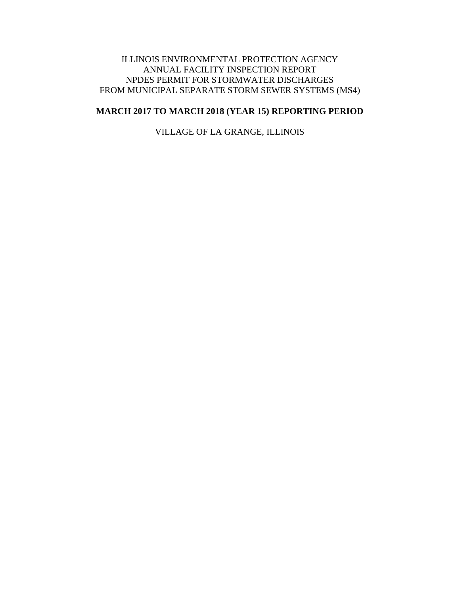### ILLINOIS ENVIRONMENTAL PROTECTION AGENCY ANNUAL FACILITY INSPECTION REPORT NPDES PERMIT FOR STORMWATER DISCHARGES FROM MUNICIPAL SEPARATE STORM SEWER SYSTEMS (MS4)

## **MARCH 2017 TO MARCH 2018 (YEAR 15) REPORTING PERIOD**

VILLAGE OF LA GRANGE, ILLINOIS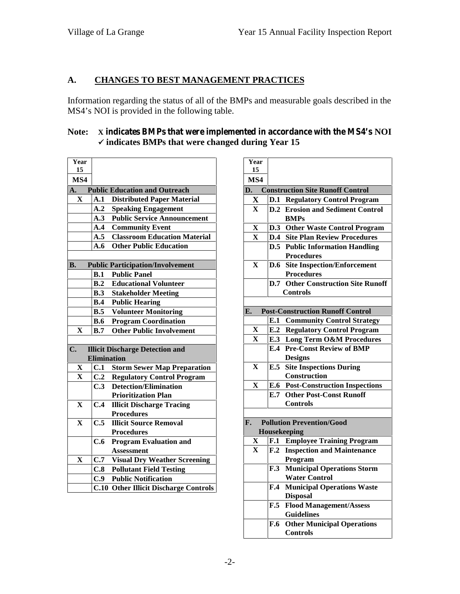# **A. CHANGES TO BEST MANAGEMENT PRACTICES**

Information regarding the status of all of the BMPs and measurable goals described in the MS4's NOI is provided in the following table.

### **Note: X indicates BMPs that were implemented in accordance with the MS4's NOI indicates BMPs that were changed during Year 15**

| Year        |                    |                                              | ٦  |
|-------------|--------------------|----------------------------------------------|----|
| 15          |                    |                                              |    |
| MS4         |                    |                                              | Ŋ  |
| A.          |                    | <b>Public Education and Outreach</b>         | D  |
| $\mathbf X$ | A.1                | <b>Distributed Paper Material</b>            |    |
|             | A.2                | <b>Speaking Engagement</b>                   |    |
|             | A.3                | <b>Public Service Announcement</b>           |    |
|             | A.4                | <b>Community Event</b>                       |    |
|             | A.5                | <b>Classroom Education Material</b>          |    |
|             | A.6                | <b>Other Public Education</b>                |    |
|             |                    |                                              |    |
| <b>B.</b>   |                    | <b>Public Participation/Involvement</b>      |    |
|             | <b>B.1</b>         | <b>Public Panel</b>                          |    |
|             |                    | <b>B.2</b> Educational Volunteer             |    |
|             |                    | <b>B.3</b> Stakeholder Meeting               |    |
|             |                    | <b>B.4</b> Public Hearing                    |    |
|             |                    | <b>B.5</b> Volunteer Monitoring              | E. |
|             | <b>B.6</b>         | <b>Program Coordination</b>                  |    |
| $\mathbf X$ | B.7                | <b>Other Public Involvement</b>              |    |
|             |                    |                                              |    |
| C.          |                    | <b>Illicit Discharge Detection and</b>       |    |
|             | <b>Elimination</b> |                                              |    |
| X           | C.1                | <b>Storm Sewer Map Preparation</b>           |    |
| $\mathbf X$ |                    | <b>C.2</b> Regulatory Control Program        |    |
|             | C.3                | <b>Detection/Elimination</b>                 |    |
|             |                    | <b>Prioritization Plan</b>                   |    |
| $\mathbf X$ | C.4                | <b>Illicit Discharge Tracing</b>             |    |
|             |                    | <b>Procedures</b>                            |    |
| $\mathbf X$ | C.5                | <b>Illicit Source Removal</b>                | F. |
|             |                    | <b>Procedures</b>                            |    |
|             | C.6                | <b>Program Evaluation and</b>                |    |
|             |                    | <b>Assessment</b>                            |    |
| X           | C.7                | <b>Visual Dry Weather Screening</b>          |    |
|             | C.8                | <b>Pollutant Field Testing</b>               |    |
|             |                    | <b>C.9</b> Public Notification               |    |
|             |                    | <b>C.10 Other Illicit Discharge Controls</b> |    |

| Year<br>15              |     |                                                      |
|-------------------------|-----|------------------------------------------------------|
| MS4                     |     |                                                      |
| D.                      |     | <b>Construction Site Runoff Control</b>              |
| X                       |     | <b>D.1 Regulatory Control Program</b>                |
| $\mathbf X$             |     | <b>D.2</b> Erosion and Sediment Control              |
|                         |     | <b>BMPs</b>                                          |
| $\mathbf X$             |     | D.3 Other Waste Control Program                      |
| $\mathbf X$             |     | <b>D.4 Site Plan Review Procedures</b>               |
|                         |     | <b>D.5</b> Public Information Handling               |
|                         |     | <b>Procedures</b>                                    |
| $\overline{\mathbf{X}}$ |     | <b>D.6</b> Site Inspection/Enforcement               |
|                         |     | <b>Procedures</b>                                    |
|                         | D.7 | <b>Other Construction Site Runoff</b>                |
|                         |     | Controls                                             |
| E.                      |     | <b>Post-Construction Runoff Control</b>              |
|                         |     | <b>E.1 Community Control Strategy</b>                |
| X                       |     | <b>E.2 Regulatory Control Program</b>                |
| $\mathbf{x}$            |     | <b>E.3</b> Long Term O&M Procedures                  |
|                         |     | <b>E.4 Pre-Const Review of BMP</b>                   |
|                         |     | <b>Designs</b>                                       |
| $\mathbf X$             | E.5 | <b>Site Inspections During</b>                       |
|                         |     | <b>Construction</b>                                  |
| $\mathbf{x}$            |     | <b>E.6</b> Post-Construction Inspections             |
|                         |     | <b>E.7 Other Post-Const Runoff</b>                   |
|                         |     | <b>Controls</b>                                      |
|                         |     |                                                      |
| F.                      |     | <b>Pollution Prevention/Good</b>                     |
|                         |     | Housekeeping                                         |
| X                       | F.1 | <b>Employee Training Program</b>                     |
| $\mathbf{X}$            | F.2 | <b>Inspection and Maintenance</b>                    |
|                         |     | Program                                              |
|                         | F.3 | <b>Municipal Operations Storm</b>                    |
|                         |     | <b>Water Control</b>                                 |
|                         | F.4 | <b>Municipal Operations Waste</b>                    |
|                         |     | <b>Disposal</b>                                      |
|                         | F.5 | <b>Flood Management/Assess</b>                       |
|                         |     | <b>Guidelines</b>                                    |
|                         | F.6 | <b>Other Municipal Operations</b><br><b>Controls</b> |
|                         |     |                                                      |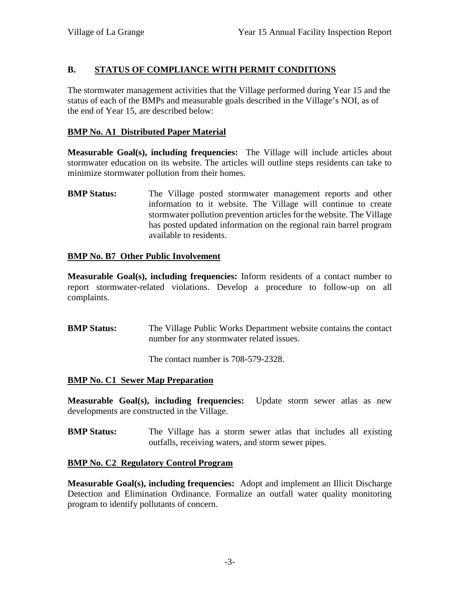# **B. STATUS OF COMPLIANCE WITH PERMIT CONDITIONS**

The stormwater management activities that the Village performed during Year 15 and the status of each of the BMPs and measurable goals described in the Village's NOI, as of the end of Year 15, are described below:

## **BMP No. A1 Distributed Paper Material**

**Measurable Goal(s), including frequencies:** The Village will include articles about stormwater education on its website. The articles will outline steps residents can take to minimize stormwater pollution from their homes.

**BMP Status:** The Village posted stormwater management reports and other information to it website. The Village will continue to create stormwater pollution prevention articles for the website. The Village has posted updated information on the regional rain barrel program available to residents.

## **BMP No. B7 Other Public Involvement**

**Measurable Goal(s), including frequencies:** Inform residents of a contact number to report stormwater-related violations. Develop a procedure to follow-up on all complaints.

**BMP Status:** The Village Public Works Department website contains the contact number for any stormwater related issues.

The contact number is 708-579-2328.

### **BMP No. C1 Sewer Map Preparation**

**Measurable Goal(s), including frequencies:** Update storm sewer atlas as new developments are constructed in the Village.

**BMP Status:** The Village has a storm sewer atlas that includes all existing outfalls, receiving waters, and storm sewer pipes.

### **BMP No. C2 Regulatory Control Program**

**Measurable Goal(s), including frequencies:** Adopt and implement an Illicit Discharge Detection and Elimination Ordinance. Formalize an outfall water quality monitoring program to identify pollutants of concern.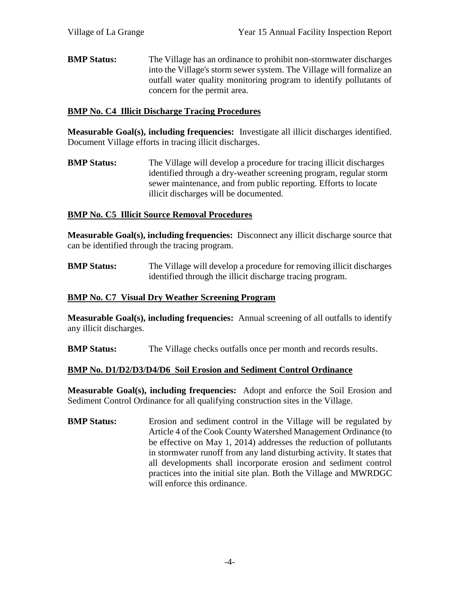**BMP Status:** The Village has an ordinance to prohibit non-stormwater discharges into the Village's storm sewer system. The Village will formalize an outfall water quality monitoring program to identify pollutants of concern for the permit area.

### **BMP No. C4 Illicit Discharge Tracing Procedures**

**Measurable Goal(s), including frequencies:** Investigate all illicit discharges identified. Document Village efforts in tracing illicit discharges.

**BMP Status:** The Village will develop a procedure for tracing illicit discharges identified through a dry-weather screening program, regular storm sewer maintenance, and from public reporting. Efforts to locate illicit discharges will be documented.

### **BMP No. C5 Illicit Source Removal Procedures**

**Measurable Goal(s), including frequencies:** Disconnect any illicit discharge source that can be identified through the tracing program.

**BMP Status:** The Village will develop a procedure for removing illicit discharges identified through the illicit discharge tracing program.

### **BMP No. C7 Visual Dry Weather Screening Program**

**Measurable Goal(s), including frequencies:** Annual screening of all outfalls to identify any illicit discharges.

**BMP Status:** The Village checks outfalls once per month and records results.

#### **BMP No. D1/D2/D3/D4/D6 Soil Erosion and Sediment Control Ordinance**

**Measurable Goal(s), including frequencies:** Adopt and enforce the Soil Erosion and Sediment Control Ordinance for all qualifying construction sites in the Village.

**BMP Status:** Erosion and sediment control in the Village will be regulated by Article 4 of the Cook County Watershed Management Ordinance (to be effective on May 1, 2014) addresses the reduction of pollutants in stormwater runoff from any land disturbing activity. It states that all developments shall incorporate erosion and sediment control practices into the initial site plan. Both the Village and MWRDGC will enforce this ordinance.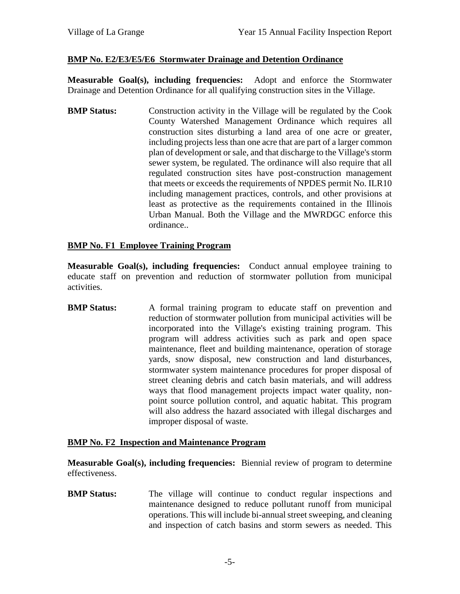### **BMP No. E2/E3/E5/E6 Stormwater Drainage and Detention Ordinance**

**Measurable Goal(s), including frequencies:** Adopt and enforce the Stormwater Drainage and Detention Ordinance for all qualifying construction sites in the Village.

**BMP Status:** Construction activity in the Village will be regulated by the Cook County Watershed Management Ordinance which requires all construction sites disturbing a land area of one acre or greater, including projects less than one acre that are part of a larger common plan of development or sale, and that discharge to the Village's storm sewer system, be regulated. The ordinance will also require that all regulated construction sites have post-construction management that meets or exceeds the requirements of NPDES permit No. ILR10 including management practices, controls, and other provisions at least as protective as the requirements contained in the Illinois Urban Manual. Both the Village and the MWRDGC enforce this ordinance..

### **BMP No. F1 Employee Training Program**

**Measurable Goal(s), including frequencies:** Conduct annual employee training to educate staff on prevention and reduction of stormwater pollution from municipal activities.

**BMP Status:** A formal training program to educate staff on prevention and reduction of stormwater pollution from municipal activities will be incorporated into the Village's existing training program. This program will address activities such as park and open space maintenance, fleet and building maintenance, operation of storage yards, snow disposal, new construction and land disturbances, stormwater system maintenance procedures for proper disposal of street cleaning debris and catch basin materials, and will address ways that flood management projects impact water quality, non point source pollution control, and aquatic habitat. This program will also address the hazard associated with illegal discharges and improper disposal of waste.

### **BMP No. F2 Inspection and Maintenance Program**

**Measurable Goal(s), including frequencies:** Biennial review of program to determine effectiveness.

**BMP Status:** The village will continue to conduct regular inspections and maintenance designed to reduce pollutant runoff from municipal operations. This will include bi-annual street sweeping, and cleaning and inspection of catch basins and storm sewers as needed. This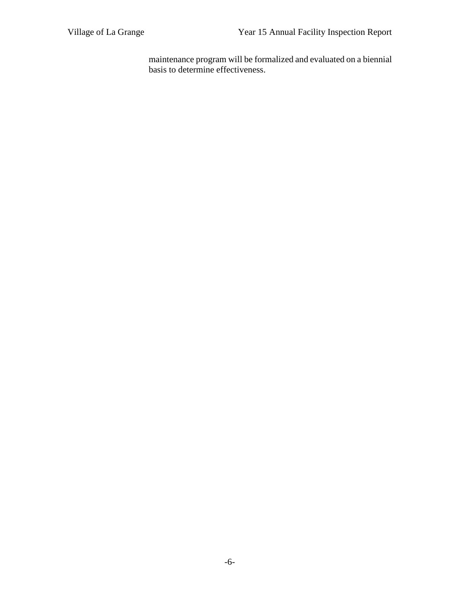maintenance program will be formalized and evaluated on a biennial basis to determine effectiveness.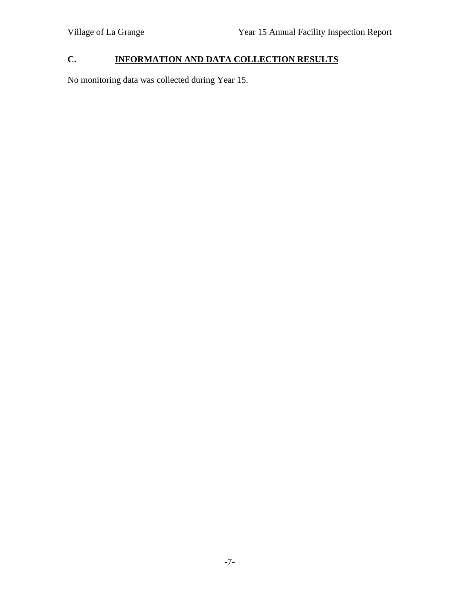# **C. INFORMATION AND DATA COLLECTION RESULTS**

No monitoring data was collected during Year 15.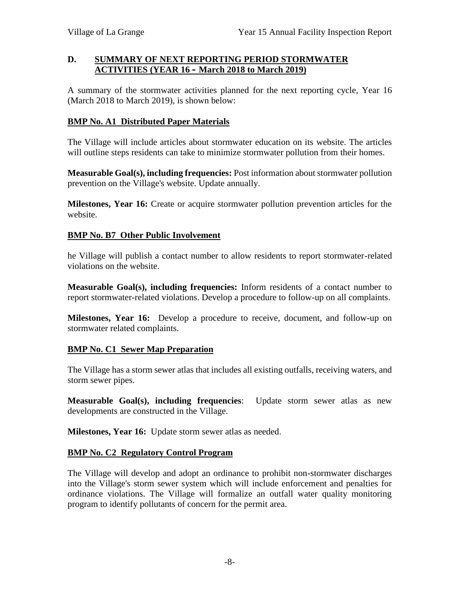### **D. SUMMARY OF NEXT REPORTING PERIOD STORMWATER ACTIVITIES (YEAR 16 – March 2018 to March 2019)**

A summary of the stormwater activities planned for the next reporting cycle, Year 16 (March 2018 to March 2019), is shown below:

### **BMP No. A1 Distributed Paper Materials**

The Village will include articles about stormwater education on its website. The articles will outline steps residents can take to minimize stormwater pollution from their homes.

**Measurable Goal(s), including frequencies:** Post information about stormwater pollution prevention on the Village's website. Update annually.

**Milestones, Year 16:** Create or acquire stormwater pollution prevention articles for the website.

## **BMP No. B7 Other Public Involvement**

he Village will publish a contact number to allow residents to report stormwater-related violations on the website.

**Measurable Goal(s), including frequencies:** Inform residents of a contact number to report stormwater-related violations. Develop a procedure to follow-up on all complaints.

**Milestones, Year 16:** Develop a procedure to receive, document, and follow-up on stormwater related complaints.

# **BMP No. C1 Sewer Map Preparation**

The Village has a storm sewer atlas that includes all existing outfalls, receiving waters, and storm sewer pipes.

**Measurable Goal(s), including frequencies**: Update storm sewer atlas as new developments are constructed in the Village.

**Milestones, Year 16:** Update storm sewer atlas as needed.

### **BMP No. C2 Regulatory Control Program**

The Village will develop and adopt an ordinance to prohibit non-stormwater discharges into the Village's storm sewer system which will include enforcement and penalties for ordinance violations. The Village will formalize an outfall water quality monitoring program to identify pollutants of concern for the permit area.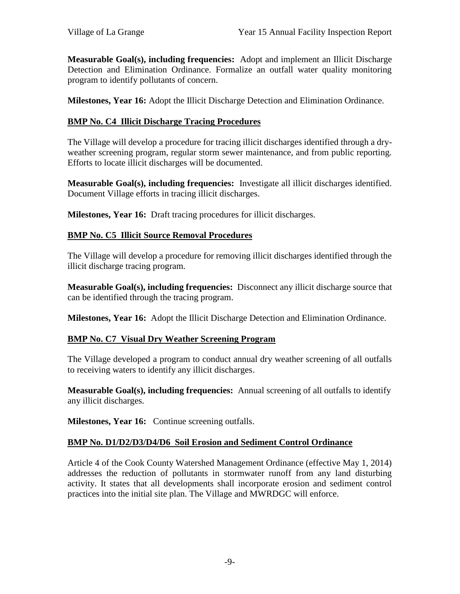**Measurable Goal(s), including frequencies:** Adopt and implement an Illicit Discharge Detection and Elimination Ordinance. Formalize an outfall water quality monitoring program to identify pollutants of concern.

**Milestones, Year 16:** Adopt the Illicit Discharge Detection and Elimination Ordinance.

## **BMP No. C4 Illicit Discharge Tracing Procedures**

The Village will develop a procedure for tracing illicit discharges identified through a dry weather screening program, regular storm sewer maintenance, and from public reporting. Efforts to locate illicit discharges will be documented.

**Measurable Goal(s), including frequencies:** Investigate all illicit discharges identified. Document Village efforts in tracing illicit discharges.

**Milestones, Year 16:** Draft tracing procedures for illicit discharges.

## **BMP No. C5 Illicit Source Removal Procedures**

The Village will develop a procedure for removing illicit discharges identified through the illicit discharge tracing program.

**Measurable Goal(s), including frequencies:** Disconnect any illicit discharge source that can be identified through the tracing program.

**Milestones, Year 16:** Adopt the Illicit Discharge Detection and Elimination Ordinance.

# **BMP No. C7 Visual Dry Weather Screening Program**

The Village developed a program to conduct annual dry weather screening of all outfalls to receiving waters to identify any illicit discharges.

**Measurable Goal(s), including frequencies:** Annual screening of all outfalls to identify any illicit discharges.

**Milestones, Year 16:** Continue screening outfalls.

### **BMP No. D1/D2/D3/D4/D6 Soil Erosion and Sediment Control Ordinance**

Article 4 of the Cook County Watershed Management Ordinance (effective May 1, 2014) addresses the reduction of pollutants in stormwater runoff from any land disturbing activity. It states that all developments shall incorporate erosion and sediment control practices into the initial site plan. The Village and MWRDGC will enforce.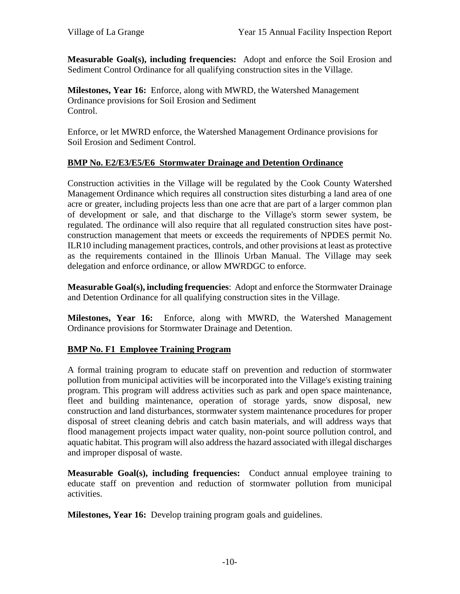**Measurable Goal(s), including frequencies:** Adopt and enforce the Soil Erosion and Sediment Control Ordinance for all qualifying construction sites in the Village.

**Milestones, Year 16:** Enforce, along with MWRD, the Watershed Management Ordinance provisions for Soil Erosion and Sediment Control.

Enforce, or let MWRD enforce, the Watershed Management Ordinance provisions for Soil Erosion and Sediment Control.

### **BMP No. E2/E3/E5/E6 Stormwater Drainage and Detention Ordinance**

Construction activities in the Village will be regulated by the Cook County Watershed Management Ordinance which requires all construction sites disturbing a land area of one acre or greater, including projects less than one acre that are part of a larger common plan of development or sale, and that discharge to the Village's storm sewer system, be regulated. The ordinance will also require that all regulated construction sites have post construction management that meets or exceeds the requirements of NPDES permit No. ILR10 including management practices, controls, and other provisions at least as protective as the requirements contained in the Illinois Urban Manual. The Village may seek delegation and enforce ordinance, or allow MWRDGC to enforce.

**Measurable Goal(s), including frequencies**: Adopt and enforce the Stormwater Drainage and Detention Ordinance for all qualifying construction sites in the Village.

**Milestones, Year 16:** Enforce, along with MWRD, the Watershed Management Ordinance provisions for Stormwater Drainage and Detention.

# **BMP No. F1 Employee Training Program**

A formal training program to educate staff on prevention and reduction of stormwater pollution from municipal activities will be incorporated into the Village's existing training program. This program will address activities such as park and open space maintenance, fleet and building maintenance, operation of storage yards, snow disposal, new construction and land disturbances, stormwater system maintenance procedures for proper disposal of street cleaning debris and catch basin materials, and will address ways that flood management projects impact water quality, non-point source pollution control, and aquatic habitat. This program will also address the hazard associated with illegal discharges and improper disposal of waste.

**Measurable Goal(s), including frequencies:** Conduct annual employee training to educate staff on prevention and reduction of stormwater pollution from municipal activities.

**Milestones, Year 16:** Develop training program goals and guidelines.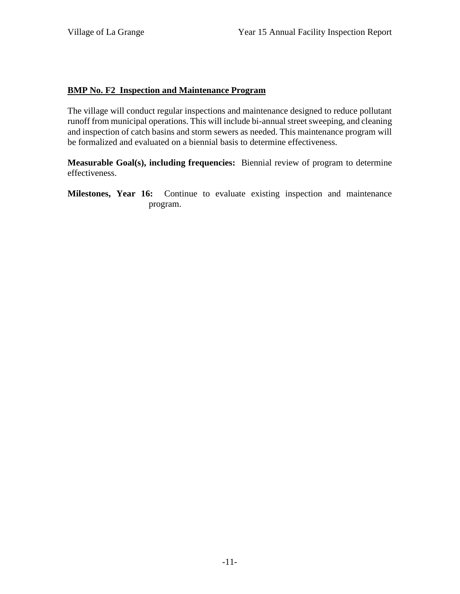### **BMP No. F2 Inspection and Maintenance Program**

The village will conduct regular inspections and maintenance designed to reduce pollutant runoff from municipal operations. This will include bi-annual street sweeping, and cleaning and inspection of catch basins and storm sewers as needed. This maintenance program will be formalized and evaluated on a biennial basis to determine effectiveness.

**Measurable Goal(s), including frequencies:** Biennial review of program to determine effectiveness.

**Milestones, Year 16:** Continue to evaluate existing inspection and maintenance program.